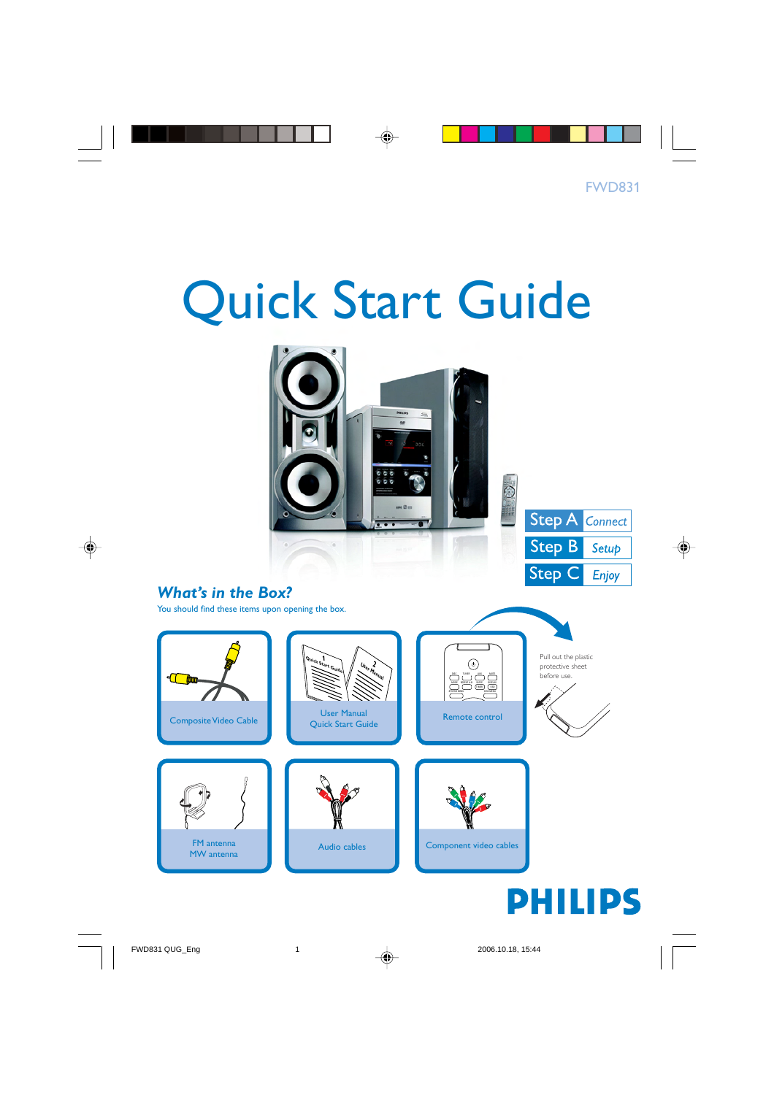# Quick Start Guide



## *What's in the Box?*

You should find these items upon opening the box.

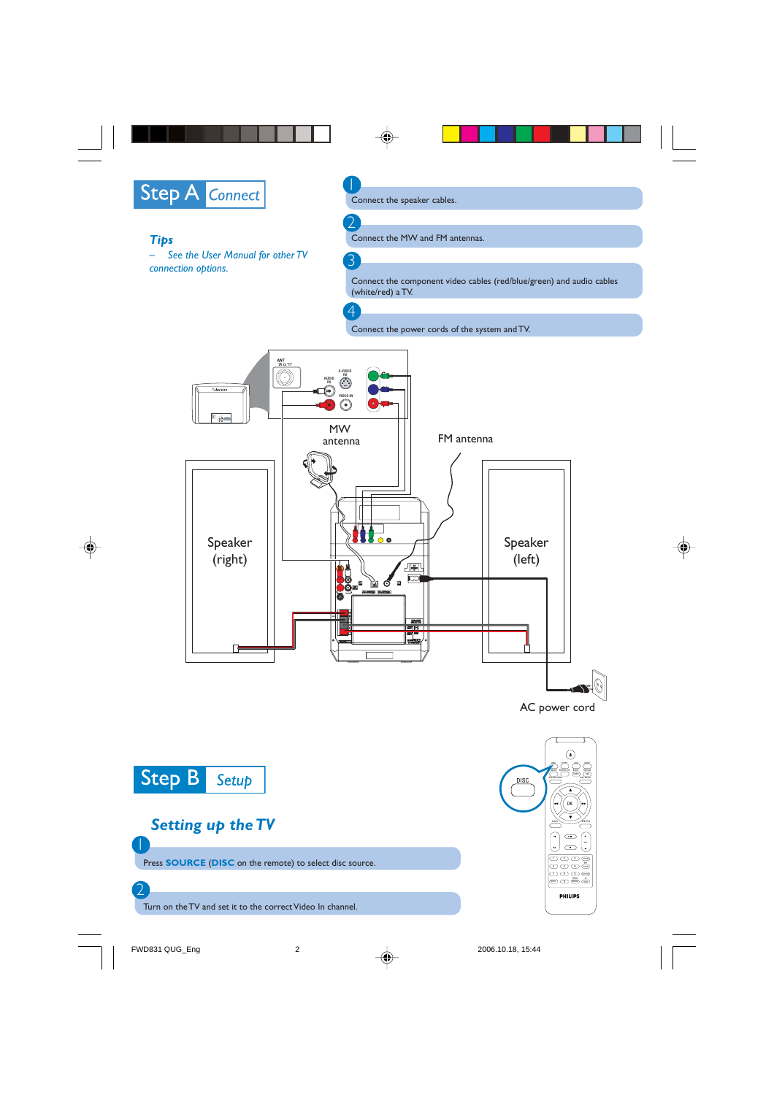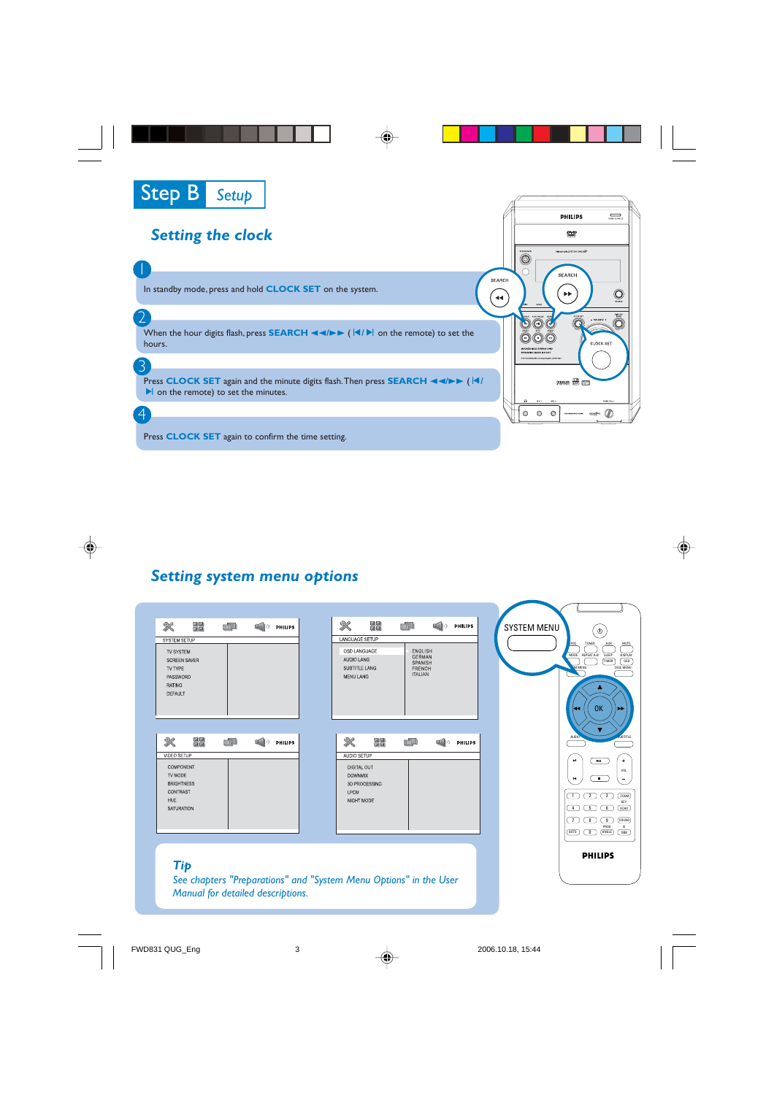

1

3

 $\overline{4}$ 

### *Setting the clock*

In standby mode, press and hold **CLOCK SET** on the system.

2 When the hour digits flash, press **SEARCH 44/>>** ( $\vert \langle \cdot \vert \cdot \rangle$  on the remote) to set the hours.

Press **CLOCK SET** again and the minute digits flash. Then press **SEARCH 44/>>** (14)  $\blacktriangleright$  on the remote) to set the minutes.

Press **CLOCK SET** again to confirm the time setting.

#### *Setting system menu options*

| 义<br>国語<br>頭頭                                           | 面儿 | $\blacksquare$ | PHILIPS | $\mathbb{\mathbb{R}}$                                             | 闘                             | <b>TOTAL</b>                                             | ■◇ | PHILIPS | <b>SYSTEM MENU</b> | $\langle$                                                                 |                                  |
|---------------------------------------------------------|----|----------------|---------|-------------------------------------------------------------------|-------------------------------|----------------------------------------------------------|----|---------|--------------------|---------------------------------------------------------------------------|----------------------------------|
| SYSTEM SETUP                                            |    |                |         |                                                                   | LANGUAGE SETUP                |                                                          |    |         |                    |                                                                           | MUTE                             |
| TV SYSTEM<br><b>SCREEN SAVER</b><br>TV TYPE<br>PASSWORD |    |                |         | AUDIO LANG<br><b>MENU LANG</b>                                    | OSD LANGUAGE<br>SUBTITLE LANG | ENGLISH<br>GERMAN<br>SPANISH<br>FRENCH<br><b>ITALIAN</b> |    |         |                    | <b>DISC</b><br>TUNER<br>MODE REPEAT A-B<br>SLEEP<br>TIMER<br><b>MMENU</b> | DISPLAY<br>$_{0SD}$<br>DISC MENU |
| <b>RATING</b><br>DEFAULT                                |    |                |         |                                                                   |                               |                                                          |    |         |                    | А<br><b>OK</b>                                                            |                                  |
| ×<br>鹽蘭<br>VIDEO SETUP                                  | 画型 | $\blacksquare$ | PHILIPS | ⋇                                                                 | 陽陽<br>AUDIO SETUP             | mill                                                     |    | PHILIPS |                    | <b>AUDIO</b>                                                              | <b>JUBTITLE</b>                  |
| COMPONENT                                               |    |                |         |                                                                   | DIGITAL OUT                   |                                                          |    |         |                    | $\mathbf{H}$<br>×,                                                        |                                  |
| TV MODE                                                 |    |                |         |                                                                   | <b>DOWNMIX</b>                |                                                          |    |         |                    | $\overline{\phantom{a}}$<br>$\mathbf{H}$                                  | VOL.                             |
| <b>BRIGHTNESS</b><br>CONTRAST                           |    |                |         | LPCM                                                              | 3D PROCESSING                 |                                                          |    |         |                    |                                                                           |                                  |
| HUE                                                     |    |                |         |                                                                   | NIGHT MODE                    |                                                          |    |         |                    | $\circledcirc$<br>□                                                       | (200M)<br>KEY                    |
| SATURATION                                              |    |                |         |                                                                   |                               |                                                          |    |         |                    | 丂<br>( 6 )<br>$\overline{4}$                                              | ECHO                             |
|                                                         |    |                |         |                                                                   |                               |                                                          |    |         |                    | ె<br>ロ<br>□<br>PROG                                                       | (500M)<br><b>IS</b>              |
|                                                         |    |                |         |                                                                   |                               |                                                          |    |         |                    | (ANGLE)<br>(60T0)<br>ര                                                    | $\sqrt{AB}$                      |
|                                                         |    |                |         |                                                                   |                               |                                                          |    |         |                    |                                                                           |                                  |
|                                                         |    |                |         |                                                                   |                               |                                                          |    |         |                    | <b>PHILIPS</b>                                                            |                                  |
| Tip                                                     |    |                |         |                                                                   |                               |                                                          |    |         |                    |                                                                           |                                  |
|                                                         |    |                |         | See chapters "Preparations" and "System Menu Options" in the User |                               |                                                          |    |         |                    |                                                                           |                                  |

31

Ô

 $\ddot{\mathbf{O}}$ 

**CLOCK SE** 

 $\boldsymbol{\omega}$ 

**PHILIPS** ₩ Matutat oversitely

SEARCH

 $\bar{\mathbf{r}}$ 

**DOMAN EN RES** 

 $\overline{\circ}$ Ō

000  $\overline{O}O$ 

†⊙ o  $\bullet$ 

SEARCH

 $\left( \begin{matrix} \bullet \\ \bullet \end{matrix} \right)$ 

#### *Manual for detailed descriptions.*